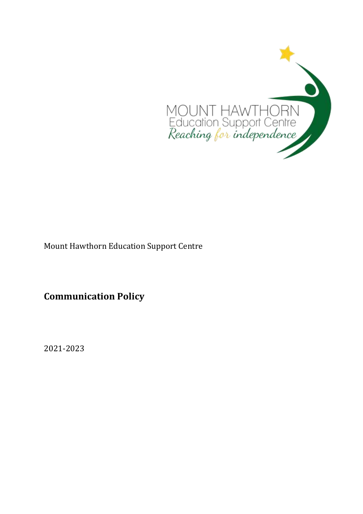

Mount Hawthorn Education Support Centre

**Communication Policy**

2021-2023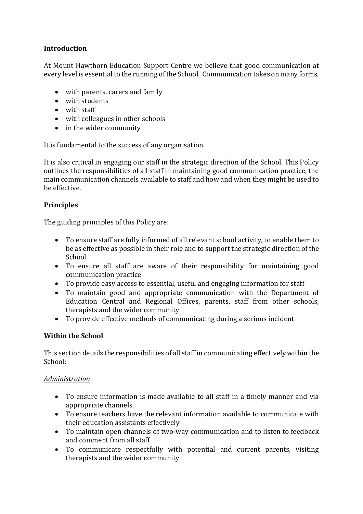# **Introduction**

At Mount Hawthorn Education Support Centre we believe that good communication at every level is essential to the running of the School. Communication takes on many forms,

- with parents, carers and family
- with students
- with staff
- with colleagues in other schools
- in the wider community

It is fundamental to the success of any organisation.

It is also critical in engaging our staff in the strategic direction of the School. This Policy outlines the responsibilities of all staff in maintaining good communication practice, the main communication channels available to staff and how and when they might be used to be effective.

# **Principles**

The guiding principles of this Policy are:

- To ensure staff are fully informed of all relevant school activity, to enable them to be as effective as possible in their role and to support the strategic direction of the School
- To ensure all staff are aware of their responsibility for maintaining good communication practice
- To provide easy access to essential, useful and engaging information for staff
- To maintain good and appropriate communication with the Department of Education Central and Regional Offices, parents, staff from other schools, therapists and the wider community
- To provide effective methods of communicating during a serious incident

# **Within the School**

This section details the responsibilities of all staff in communicating effectively within the School:

# *Administration*

- To ensure information is made available to all staff in a timely manner and via appropriate channels
- To ensure teachers have the relevant information available to communicate with their education assistants effectively
- To maintain open channels of two-way communication and to listen to feedback and comment from all staff
- To communicate respectfully with potential and current parents, visiting therapists and the wider community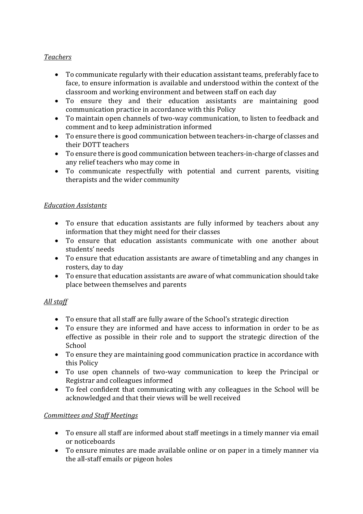# *Teachers*

- To communicate regularly with their education assistant teams, preferably face to face, to ensure information is available and understood within the context of the classroom and working environment and between staff on each day
- To ensure they and their education assistants are maintaining good communication practice in accordance with this Policy
- To maintain open channels of two-way communication, to listen to feedback and comment and to keep administration informed
- To ensure there is good communication between teachers-in-charge of classes and their DOTT teachers
- To ensure there is good communication between teachers-in-charge of classes and any relief teachers who may come in
- To communicate respectfully with potential and current parents, visiting therapists and the wider community

# *Education Assistants*

- To ensure that education assistants are fully informed by teachers about any information that they might need for their classes
- To ensure that education assistants communicate with one another about students' needs
- To ensure that education assistants are aware of timetabling and any changes in rosters, day to day
- To ensure that education assistants are aware of what communication should take place between themselves and parents

# *All staff*

- To ensure that all staff are fully aware of the School's strategic direction
- To ensure they are informed and have access to information in order to be as effective as possible in their role and to support the strategic direction of the School
- To ensure they are maintaining good communication practice in accordance with this Policy
- To use open channels of two-way communication to keep the Principal or Registrar and colleagues informed
- To feel confident that communicating with any colleagues in the School will be acknowledged and that their views will be well received

# *Committees and Staff Meetings*

- To ensure all staff are informed about staff meetings in a timely manner via email or noticeboards
- To ensure minutes are made available online or on paper in a timely manner via the all-staff emails or pigeon holes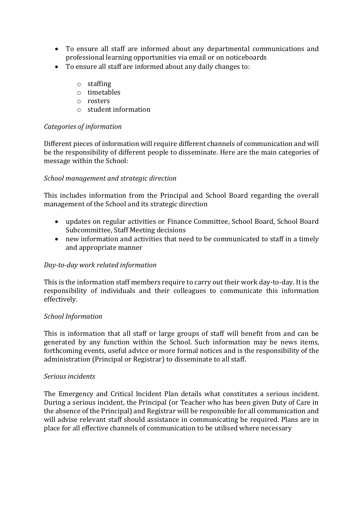- To ensure all staff are informed about any departmental communications and professional learning opportunities via email or on noticeboards
- To ensure all staff are informed about any daily changes to:
	- o staffing
	- o timetables
	- o rosters
	- o student information

# *Categories of information*

Different pieces of information will require different channels of communication and will be the responsibility of different people to disseminate. Here are the main categories of message within the School:

# *School management and strategic direction*

This includes information from the Principal and School Board regarding the overall management of the School and its strategic direction

- updates on regular activities or Finance Committee, School Board, School Board Subcommittee, Staff Meeting decisions
- new information and activities that need to be communicated to staff in a timely and appropriate manner

# *Day-to-day work related information*

This is the information staff members require to carry out their work day-to-day. It is the responsibility of individuals and their colleagues to communicate this information effectively.

# *School Information*

This is information that all staff or large groups of staff will benefit from and can be generated by any function within the School. Such information may be news items, forthcoming events, useful advice or more formal notices and is the responsibility of the administration (Principal or Registrar) to disseminate to all staff.

#### *Serious incidents*

The Emergency and Critical Incident Plan details what constitutes a serious incident. During a serious incident, the Principal (or Teacher who has been given Duty of Care in the absence of the Principal) and Registrar will be responsible for all communication and will advise relevant staff should assistance in communicating be required. Plans are in place for all effective channels of communication to be utilised where necessary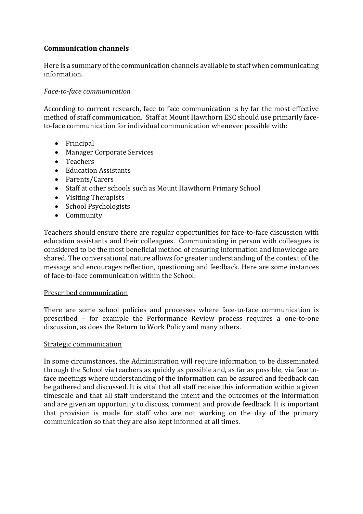# **Communication channels**

Here is a summary of the communication channels available to staff when communicating information.

#### *Face-to-face communication*

According to current research, face to face communication is by far the most effective method of staff communication. Staff at Mount Hawthorn ESC should use primarily faceto-face communication for individual communication whenever possible with:

- Principal
- Manager Corporate Services
- Teachers
- Education Assistants
- Parents/Carers
- Staff at other schools such as Mount Hawthorn Primary School
- Visiting Therapists
- School Psychologists
- Community

Teachers should ensure there are regular opportunities for face-to-face discussion with education assistants and their colleagues. Communicating in person with colleagues is considered to be the most beneficial method of ensuring information and knowledge are shared. The conversational nature allows for greater understanding of the context of the message and encourages reflection, questioning and feedback. Here are some instances of face-to-face communication within the School:

#### Prescribed communication

There are some school policies and processes where face-to-face communication is prescribed – for example the Performance Review process requires a one-to-one discussion, as does the Return to Work Policy and many others.

#### Strategic communication

In some circumstances, the Administration will require information to be disseminated through the School via teachers as quickly as possible and, as far as possible, via face toface meetings where understanding of the information can be assured and feedback can be gathered and discussed. It is vital that all staff receive this information within a given timescale and that all staff understand the intent and the outcomes of the information and are given an opportunity to discuss, comment and provide feedback. It is important that provision is made for staff who are not working on the day of the primary communication so that they are also kept informed at all times.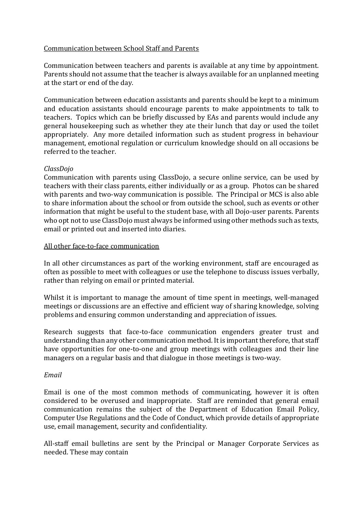# Communication between School Staff and Parents

Communication between teachers and parents is available at any time by appointment. Parents should not assume that the teacher is always available for an unplanned meeting at the start or end of the day.

Communication between education assistants and parents should be kept to a minimum and education assistants should encourage parents to make appointments to talk to teachers. Topics which can be briefly discussed by EAs and parents would include any general housekeeping such as whether they ate their lunch that day or used the toilet appropriately. Any more detailed information such as student progress in behaviour management, emotional regulation or curriculum knowledge should on all occasions be referred to the teacher.

# *ClassDojo*

Communication with parents using ClassDojo, a secure online service, can be used by teachers with their class parents, either individually or as a group. Photos can be shared with parents and two-way communication is possible. The Principal or MCS is also able to share information about the school or from outside the school, such as events or other information that might be useful to the student base, with all Dojo-user parents. Parents who opt not to use ClassDojo must always be informed using other methods such as texts, email or printed out and inserted into diaries.

#### All other face-to-face communication

In all other circumstances as part of the working environment, staff are encouraged as often as possible to meet with colleagues or use the telephone to discuss issues verbally, rather than relying on email or printed material.

Whilst it is important to manage the amount of time spent in meetings, well-managed meetings or discussions are an effective and efficient way of sharing knowledge, solving problems and ensuring common understanding and appreciation of issues.

Research suggests that face-to-face communication engenders greater trust and understanding than any other communication method. It is important therefore, that staff have opportunities for one-to-one and group meetings with colleagues and their line managers on a regular basis and that dialogue in those meetings is two-way.

# *Email*

Email is one of the most common methods of communicating, however it is often considered to be overused and inappropriate. Staff are reminded that general email communication remains the subject of the Department of Education Email Policy, Computer Use Regulations and the Code of Conduct, which provide details of appropriate use, email management, security and confidentiality.

All-staff email bulletins are sent by the Principal or Manager Corporate Services as needed. These may contain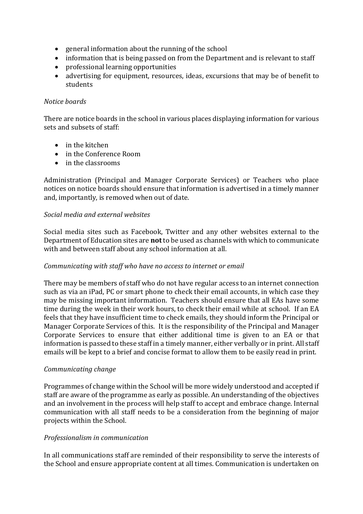- general information about the running of the school
- information that is being passed on from the Department and is relevant to staff
- professional learning opportunities
- advertising for equipment, resources, ideas, excursions that may be of benefit to students

# *Notice boards*

There are notice boards in the school in various places displaying information for various sets and subsets of staff:

- in the kitchen
- in the Conference Room
- in the classrooms

Administration (Principal and Manager Corporate Services) or Teachers who place notices on notice boards should ensure that information is advertised in a timely manner and, importantly, is removed when out of date.

#### *Social media and external websites*

Social media sites such as Facebook, Twitter and any other websites external to the Department of Education sites are **not** to be used as channels with which to communicate with and between staff about any school information at all.

# *Communicating with staff who have no access to internet or email*

There may be members of staff who do not have regular access to an internet connection such as via an iPad, PC or smart phone to check their email accounts, in which case they may be missing important information. Teachers should ensure that all EAs have some time during the week in their work hours, to check their email while at school. If an EA feels that they have insufficient time to check emails, they should inform the Principal or Manager Corporate Services of this. It is the responsibility of the Principal and Manager Corporate Services to ensure that either additional time is given to an EA or that information is passed to these staff in a timely manner, either verbally or in print. All staff emails will be kept to a brief and concise format to allow them to be easily read in print.

# *Communicating change*

Programmes of change within the School will be more widely understood and accepted if staff are aware of the programme as early as possible. An understanding of the objectives and an involvement in the process will help staff to accept and embrace change. Internal communication with all staff needs to be a consideration from the beginning of major projects within the School.

# *Professionalism in communication*

In all communications staff are reminded of their responsibility to serve the interests of the School and ensure appropriate content at all times. Communication is undertaken on